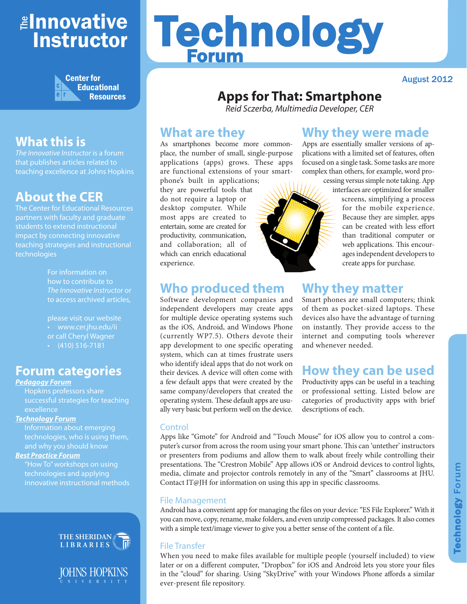## <mark>≇Innovative</mark> Instructor



## **What this is**

*The Innovative Instructor* is a forum that publishes articles related to teaching excellence at Johns Hopkins

## **About the CER**

The Center for Educational Resources partners with faculty and graduate students to extend instructional impact by connecting innovative teaching strategies and instructional technologies

> For information on how to contribute to *The Innovative Instructor* or to access archived articles,

please visit our website • www.cer.jhu.edu/ii or call Cheryl Wagner  $\cdot$  (410) 516-7181

## **Forum categories**

#### *Pedagogy Forum*

Hopkins professors share successful strategies for teaching excellence

#### *Technology Forum*

Information about emerging technologies, who is using them, and why you should know

#### *Best Practice Forum*

"How To" workshops on using technologies and applying innovative instructional methods





# Technology Forum

August 2012

## **Apps for That: Smartphone**

*Reid Sczerba, Multimedia Developer, CER*

## **What are they**

As smartphones become more commonplace, the number of small, single-purpose applications (apps) grows. These apps are functional extensions of your smart-

phone's built in applications; they are powerful tools that do not require a laptop or desktop computer. While most apps are created to entertain, some are created for productivity, communication, and collaboration; all of which can enrich educational experience.

## **Who produced them**

Software development companies and independent developers may create apps for multiple device operating systems such as the iOS, Android, and Windows Phone (currently WP7.5). Others devote their app development to one specific operating system, which can at times frustrate users who identify ideal apps that do not work on their devices. A device will often come with a few default apps that were created by the same company/developers that created the operating system. These default apps are usually very basic but perform well on the device.

## **Why they were made**

Apps are essentially smaller versions of applications with a limited set of features, often focused on a single task. Some tasks are more complex than others, for example, word pro-

> cessing versus simple note taking. App interfaces are optimized for smaller screens, simplifying a process for the mobile experience. Because they are simpler, apps can be created with less effort than traditional computer or web applications. This encourages independent developers to create apps for purchase.

## **Why they matter**

Smart phones are small computers; think of them as pocket-sized laptops. These devices also have the advantage of turning on instantly. They provide access to the internet and computing tools wherever and whenever needed.

## **How they can be used**

Productivity apps can be useful in a teaching or professional setting. Listed below are categories of productivity apps with brief descriptions of each.

#### **Control**

Apps like "Gmote" for Android and "Touch Mouse" for iOS allow you to control a computer's cursor from across the room using your smart phone. This can 'untether' instructors or presenters from podiums and allow them to walk about freely while controlling their presentations. The "Crestron Mobile" App allows iOS or Android devices to control lights, media, climate and projector controls remotely in any of the "Smart" classrooms at JHU. Contact IT@JH for information on using this app in specific classrooms.

#### File Management

Android has a convenient app for managing the files on your device: "ES File Explorer." With it you can move, copy, rename, make folders, and even unzip compressed packages. It also comes with a simple text/image viewer to give you a better sense of the content of a file.

#### File Transfer

When you need to make files available for multiple people (yourself included) to view later or on a different computer, "Dropbox" for iOS and Android lets you store your files in the "cloud" for sharing. Using "SkyDrive" with your Windows Phone affords a similar ever-present file repository.